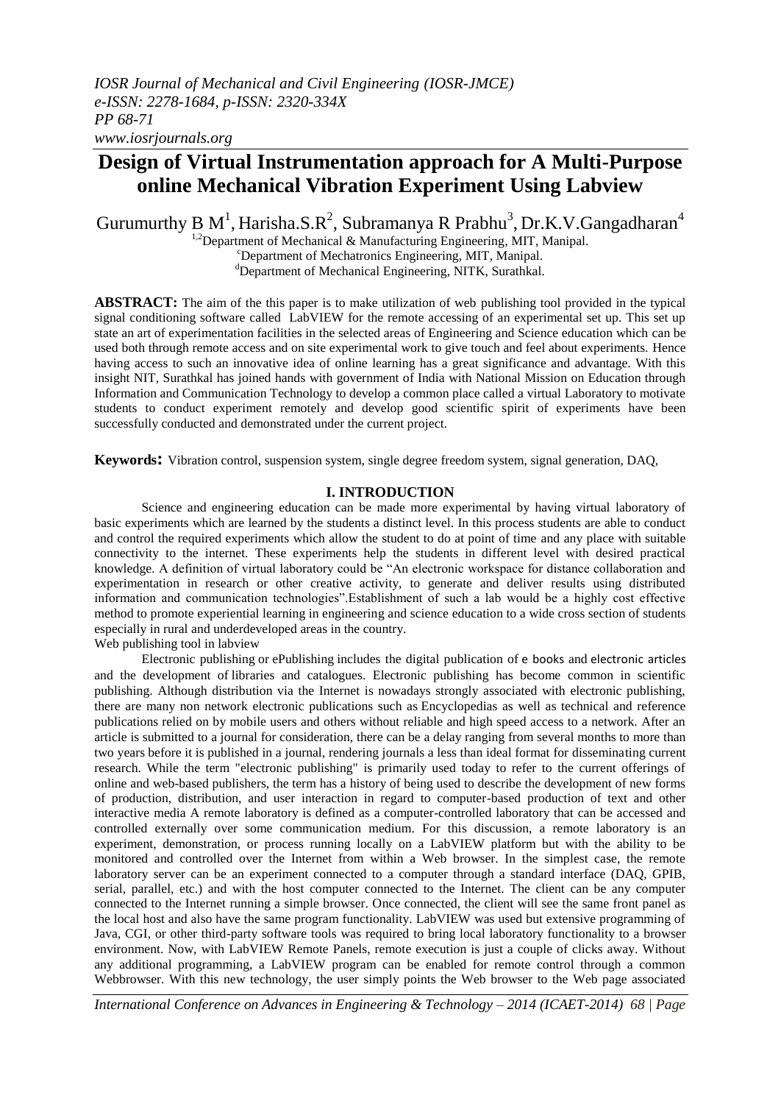# **Design of Virtual Instrumentation approach for A Multi-Purpose online Mechanical Vibration Experiment Using Labview**

Gurumurthy B M<sup>1</sup>, Harisha.S.R<sup>2</sup>, Subramanya R Prabhu<sup>3</sup>, Dr.K.V.Gangadharan<sup>4</sup>

 $1,2$ Department of Mechanical & Manufacturing Engineering, MIT, Manipal.

<sup>c</sup>Department of Mechatronics Engineering, MIT, Manipal.

dDepartment of Mechanical Engineering, NITK, Surathkal.

**ABSTRACT:** The aim of the this paper is to make utilization of web publishing tool provided in the typical signal conditioning software called LabVIEW for the remote accessing of an experimental set up. This set up state an art of experimentation facilities in the selected areas of Engineering and Science education which can be used both through remote access and on site experimental work to give touch and feel about experiments. Hence having access to such an innovative idea of online learning has a great significance and advantage. With this insight NIT, Surathkal has joined hands with government of India with National Mission on Education through Information and Communication Technology to develop a common place called a virtual Laboratory to motivate students to conduct experiment remotely and develop good scientific spirit of experiments have been successfully conducted and demonstrated under the current project.

**Keywords:** Vibration control, suspension system, single degree freedom system, signal generation, DAQ,

### **I. INTRODUCTION**

Science and engineering education can be made more experimental by having virtual laboratory of basic experiments which are learned by the students a distinct level. In this process students are able to conduct and control the required experiments which allow the student to do at point of time and any place with suitable connectivity to the internet. These experiments help the students in different level with desired practical knowledge. A definition of virtual laboratory could be "An electronic workspace for distance collaboration and experimentation in research or other creative activity, to generate and deliver results using distributed information and communication technologies".Establishment of such a lab would be a highly cost effective method to promote experiential learning in engineering and science education to a wide cross section of students especially in rural and underdeveloped areas in the country.

Web publishing tool in labview

Electronic publishing or ePublishing includes the digital publication of e books and electronic articles and the development of libraries and catalogues. Electronic publishing has become common in scientific publishing. Although distribution via the Internet is nowadays strongly associated with electronic publishing, there are many non network electronic publications such as Encyclopedias as well as technical and reference publications relied on by mobile users and others without reliable and high speed access to a network. After an article is submitted to a journal for consideration, there can be a delay ranging from several months to more than two years before it is published in a journal, rendering journals a less than ideal format for disseminating current research. While the term "electronic publishing" is primarily used today to refer to the current offerings of online and web-based publishers, the term has a history of being used to describe the development of new forms of production, distribution, and user interaction in regard to computer-based production of text and other interactive media A remote laboratory is defined as a computer-controlled laboratory that can be accessed and controlled externally over some communication medium. For this discussion, a remote laboratory is an experiment, demonstration, or process running locally on a LabVIEW platform but with the ability to be monitored and controlled over the Internet from within a Web browser. In the simplest case, the remote laboratory server can be an experiment connected to a computer through a standard interface (DAQ, GPIB, serial, parallel, etc.) and with the host computer connected to the Internet. The client can be any computer connected to the Internet running a simple browser. Once connected, the client will see the same front panel as the local host and also have the same program functionality. LabVIEW was used but extensive programming of Java, CGI, or other third-party software tools was required to bring local laboratory functionality to a browser environment. Now, with LabVIEW Remote Panels, remote execution is just a couple of clicks away. Without any additional programming, a LabVIEW program can be enabled for remote control through a common Webbrowser. With this new technology, the user simply points the Web browser to the Web page associated

*International Conference on Advances in Engineering & Technology – 2014 (ICAET-2014) 68 | Page*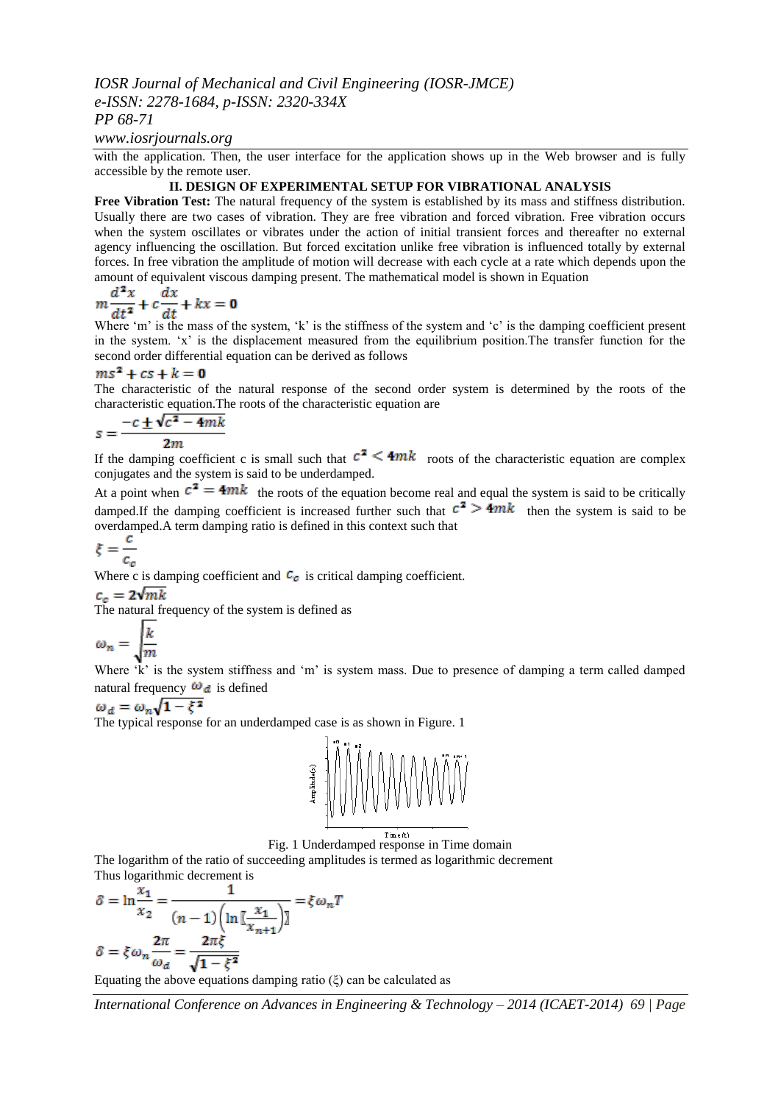### *IOSR Journal of Mechanical and Civil Engineering (IOSR-JMCE) e-ISSN: 2278-1684, p-ISSN: 2320-334X PP 68-71*

### *www.iosrjournals.org*

with the application. Then, the user interface for the application shows up in the Web browser and is fully accessible by the remote user.

### **II. DESIGN OF EXPERIMENTAL SETUP FOR VIBRATIONAL ANALYSIS**

**Free Vibration Test:** The natural frequency of the system is established by its mass and stiffness distribution. Usually there are two cases of vibration. They are free vibration and forced vibration. Free vibration occurs when the system oscillates or vibrates under the action of initial transient forces and thereafter no external agency influencing the oscillation. But forced excitation unlike free vibration is influenced totally by external forces. In free vibration the amplitude of motion will decrease with each cycle at a rate which depends upon the amount of equivalent viscous damping present. The mathematical model is shown in Equation

$$
m\frac{d^2x}{dt^2} + c\frac{dx}{dt} + kx = \mathbf{0}
$$

Where 'm' is the mass of the system, 'k' is the stiffness of the system and 'c' is the damping coefficient present in the system. 'x' is the displacement measured from the equilibrium position. The transfer function for the second order differential equation can be derived as follows

### $ms^2 + cs + k = 0$

The characteristic of the natural response of the second order system is determined by the roots of the characteristic equation.The roots of the characteristic equation are

$$
s = \frac{-c \pm \sqrt{c^2 - 4mk}}{2m}
$$

If the damping coefficient c is small such that  $c^2 \leq 4mk$  roots of the characteristic equation are complex conjugates and the system is said to be underdamped.

At a point when  $c^2 = 4mk$  the roots of the equation become real and equal the system is said to be critically damped.If the damping coefficient is increased further such that  $c^2 \geq 4mk$  then the system is said to be overdamped.A term damping ratio is defined in this context such that

$$
\xi = \frac{c}{c_c}
$$

Where c is damping coefficient and  $\mathcal{C}_{\mathcal{C}}$  is critical damping coefficient.

 $c_c = 2\sqrt{mk}$ 

The natural frequency of the system is defined as

$$
\omega_n = \sqrt{\frac{k}{m}}
$$

Where 'k' is the system stiffness and 'm' is system mass. Due to presence of damping a term called damped natural frequency  $\omega_d$  is defined

$$
\omega_d = \omega_n \sqrt{1 - \xi^2}
$$

The typical response for an underdamped case is as shown in Figure. 1



Fig. 1 Underdamped response in Time domain

The logarithm of the ratio of succeeding amplitudes is termed as logarithmic decrement Thus logarithmic decrement is

$$
\delta = \ln \frac{x_1}{x_2} = \frac{1}{(n-1)\left(\ln \left[\frac{x_1}{x_{n+1}}\right]\right)} = \xi \omega_n T
$$
  

$$
\delta = \xi \omega_n \frac{2\pi}{\omega_d} = \frac{2\pi \xi}{\sqrt{1 - \xi^2}}
$$
  
Equating the above equations damping ratio  $(\xi)$  can be calculated as

*International Conference on Advances in Engineering & Technology – 2014 (ICAET-2014) 69 | Page*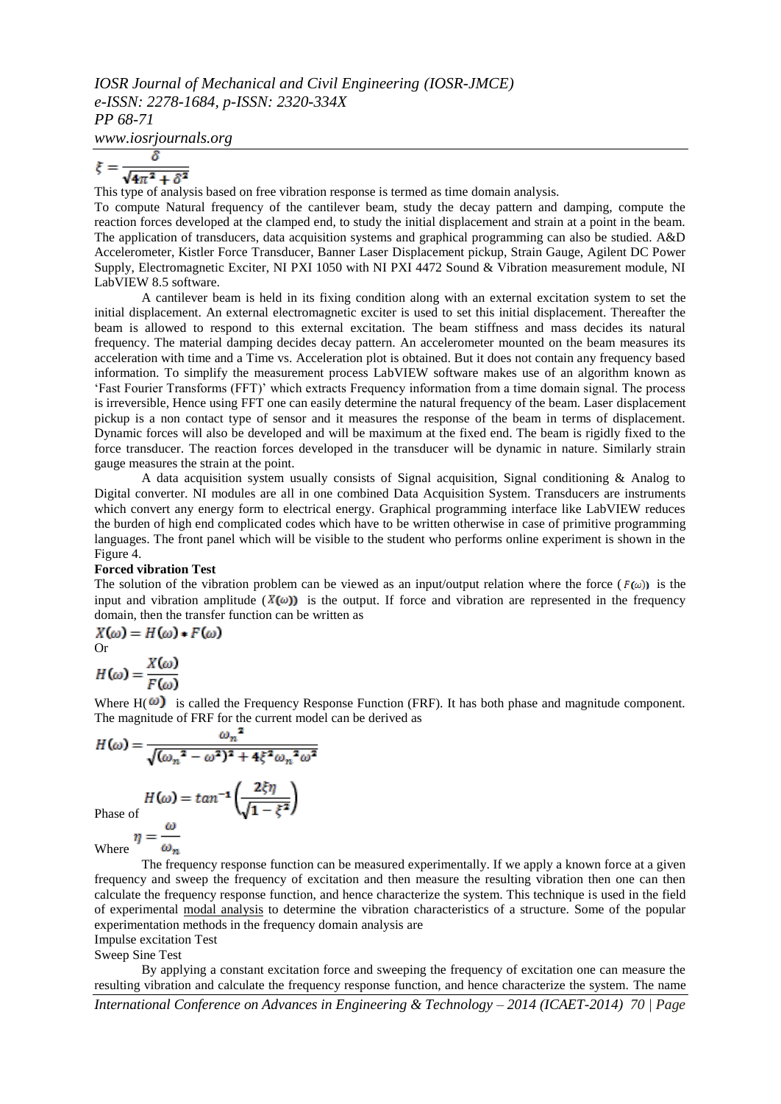## *IOSR Journal of Mechanical and Civil Engineering (IOSR-JMCE) e-ISSN: 2278-1684, p-ISSN: 2320-334X PP 68-71*

*www.iosrjournals.org*

$$
\xi = \frac{\delta}{\sqrt{4\pi^2 + \delta^2}}
$$

This type of analysis based on free vibration response is termed as time domain analysis.

To compute Natural frequency of the cantilever beam, study the decay pattern and damping, compute the reaction forces developed at the clamped end, to study the initial displacement and strain at a point in the beam. The application of transducers, data acquisition systems and graphical programming can also be studied. A&D Accelerometer, Kistler Force Transducer, Banner Laser Displacement pickup, Strain Gauge, Agilent DC Power Supply, Electromagnetic Exciter, NI PXI 1050 with NI PXI 4472 Sound & Vibration measurement module, NI LabVIEW 8.5 software.

A cantilever beam is held in its fixing condition along with an external excitation system to set the initial displacement. An external electromagnetic exciter is used to set this initial displacement. Thereafter the beam is allowed to respond to this external excitation. The beam stiffness and mass decides its natural frequency. The material damping decides decay pattern. An accelerometer mounted on the beam measures its acceleration with time and a Time vs. Acceleration plot is obtained. But it does not contain any frequency based information. To simplify the measurement process LabVIEW software makes use of an algorithm known as "Fast Fourier Transforms (FFT)" which extracts Frequency information from a time domain signal. The process is irreversible, Hence using FFT one can easily determine the natural frequency of the beam. Laser displacement pickup is a non contact type of sensor and it measures the response of the beam in terms of displacement. Dynamic forces will also be developed and will be maximum at the fixed end. The beam is rigidly fixed to the force transducer. The reaction forces developed in the transducer will be dynamic in nature. Similarly strain gauge measures the strain at the point.

A data acquisition system usually consists of Signal acquisition, Signal conditioning & Analog to Digital converter. NI modules are all in one combined Data Acquisition System. Transducers are instruments which convert any energy form to electrical energy. Graphical programming interface like LabVIEW reduces the burden of high end complicated codes which have to be written otherwise in case of primitive programming languages. The front panel which will be visible to the student who performs online experiment is shown in the Figure 4.

#### **Forced vibration Test**

The solution of the vibration problem can be viewed as an input/output relation where the force ( $F(\omega)$ ) is the input and vibration amplitude ( $X(\omega)$ ) is the output. If force and vibration are represented in the frequency domain, then the transfer function can be written as

$$
X(\omega) = H(\omega) * F(\omega)
$$
  
Or  

$$
H(\omega) = \frac{X(\omega)}{F(\omega)}
$$

Where  $H(\omega)$  is called the Frequency Response Function (FRF). It has both phase and magnitude component. The magnitude of FRF for the current model can be derived as

$$
H(\omega) = \frac{\omega_n^2}{\sqrt{(\omega_n^2 - \omega^2)^2 + 4\xi^2 \omega_n^2 \omega^2}}
$$

$$
H(\omega) = \tan^{-1}\left(\frac{2\xi\eta}{\sqrt{1 - \xi^2}}\right)
$$
Phase of

Where  $\eta$  :  $\omega_n$ 

The frequency response function can be measured experimentally. If we apply a known force at a given frequency and sweep the frequency of excitation and then measure the resulting vibration then one can then calculate the frequency response function, and hence characterize the system. This technique is used in the field of experimental [modal analysis](http://en.wikipedia.org/wiki/Modal_analysis) to determine the vibration characteristics of a structure. Some of the popular experimentation methods in the frequency domain analysis are

Impulse excitation Test

Sweep Sine Test

By applying a constant excitation force and sweeping the frequency of excitation one can measure the resulting vibration and calculate the frequency response function, and hence characterize the system. The name

*International Conference on Advances in Engineering & Technology – 2014 (ICAET-2014) 70 | Page*